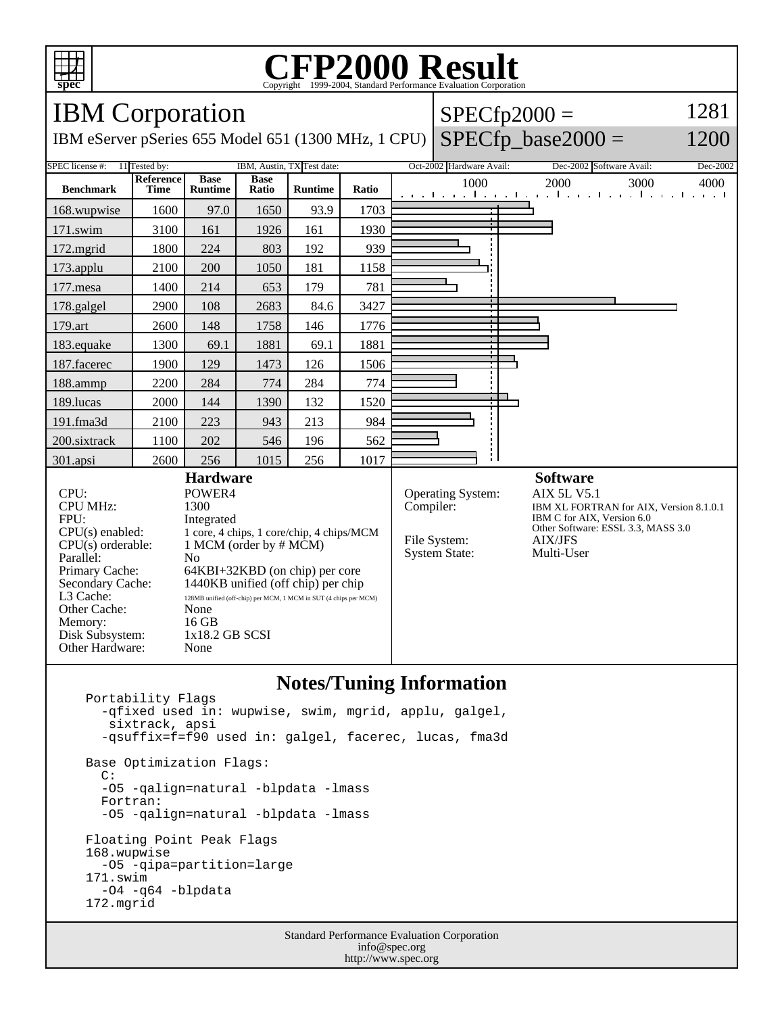

## **CFP2000 Result** Copyright  $\odot$  1999-2004, Standard I

IBM Corporation IBM eServer pSeries 655 Model 651 (1300 MHz, 1 CPU)  $SPECfp2000 =$  $SPECfp\_base2000 =$ 1281 1200 SPEC license #: 11 Tested by: IBM, Austin, TX Test date: Oct-2002 Hardware Avail: Dec-2002 Software Avail: Dec-2002 **Benchmark Reference Time Base Runtime Base Ratio Runtime Ratio** 1000 2000 3000 4000 168.wupwise 1600 97.0 1650 93.9 1703 171.swim | 3100 | 161 | 1926 | 161 | 1930 172.mgrid | 1800 | 224 | 803 | 192 | 939 173.applu | 2100 | 200 | 1050 | 181 | 1158 177.mesa | 1400 | 214 | 653 | 179 | 781 178.galgel | 2900 | 108 | 2683 | 84.6 | 3427 179.art 2600 148 1758 146 1776 183.equake 1300 69.1 1881 69.1 1881 187.facerec | 1900 | 129 | 1473 | 126 | 1506 188.ammp | 2200 | 284 | 774 | 284 | 774 189.lucas | 2000 | 144 | 1390 | 132 | 1520 191.fma3d 2100 223 943 213 984 200.sixtrack 1100 202 546 196 562 301.apsi | 2600 | 256 | 1015 | 256 | 1017 **Hardware** CPU: POWER4<br>
CPU MHz: 1300 CPU MHz: FPU: Integrated  $CPU(s)$  enabled: 1 core, 4 chips, 1 core/chip, 4 chips/MCM<br> $CPU(s)$  orderable: 1 MCM (order by # MCM) 1 MCM (order by  $# MCM$ ) Parallel: No<br>Primary Cache: 64F 64KBI+32KBD (on chip) per core Secondary Cache: 1440KB unified (off chip) per chip<br>L3 Cache: 128MB unified (off-chip) per MCM | MCM in SUT (4-chips per M 128MB unified (off-chip) per MCM, 1 MCM in SUT (4 chips per MCM) Other Cache: None<br>Memory: 16 GB Memory: Disk Subsystem: 1x18.2 GB SCSI Other Hardware: None **Software** Operating System: AIX 5L V5.1<br>Compiler: IBM XL FORTE IBM XL FORTRAN for AIX, Version 8.1.0.1 IBM C for AIX, Version 6.0 Other Software: ESSL 3.3, MASS 3.0 File System: AIX/JFS System State: Multi-User

## **Notes/Tuning Information**

 Portability Flags -qfixed used in: wupwise, swim, mgrid, applu, galgel, sixtrack, apsi -qsuffix=f=f90 used in: galgel, facerec, lucas, fma3d Base Optimization Flags: C: -O5 -qalign=natural -blpdata -lmass Fortran: -O5 -qalign=natural -blpdata -lmass Floating Point Peak Flags 168.wupwise -O5 -qipa=partition=large 171.swim -O4 -q64 -blpdata 172.mgrid

> Standard Performance Evaluation Corporation info@spec.org http://www.spec.org